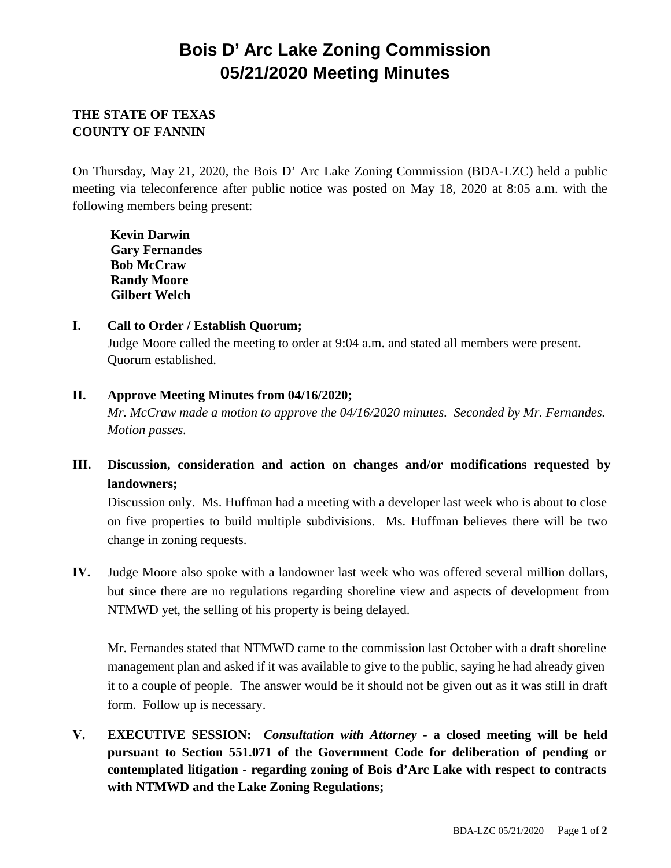# **Bois D' Arc Lake Zoning Commission 05/21/2020 Meeting Minutes**

## **THE STATE OF TEXAS COUNTY OF FANNIN**

On Thursday, May 21, 2020, the Bois D' Arc Lake Zoning Commission (BDA-LZC) held a public meeting via teleconference after public notice was posted on May 18, 2020 at 8:05 a.m. with the following members being present:

**Kevin Darwin Gary Fernandes Bob McCraw Randy Moore Gilbert Welch**

### **I. Call to Order / Establish Quorum;** Judge Moore called the meeting to order at 9:04 a.m. and stated all members were present.

Quorum established.

### **II. Approve Meeting Minutes from 04/16/2020;**

*Mr. McCraw made a motion to approve the 04/16/2020 minutes. Seconded by Mr. Fernandes. Motion passes.*

# **III. Discussion, consideration and action on changes and/or modifications requested by landowners;**

Discussion only. Ms. Huffman had a meeting with a developer last week who is about to close on five properties to build multiple subdivisions. Ms. Huffman believes there will be two change in zoning requests.

**IV.** Judge Moore also spoke with a landowner last week who was offered several million dollars, but since there are no regulations regarding shoreline view and aspects of development from NTMWD yet, the selling of his property is being delayed.

Mr. Fernandes stated that NTMWD came to the commission last October with a draft shoreline management plan and asked if it was available to give to the public, saying he had already given it to a couple of people. The answer would be it should not be given out as it was still in draft form. Follow up is necessary.

**V. EXECUTIVE SESSION:** *Consultation with Attorney -* **a closed meeting will be held pursuant to Section 551.071 of the Government Code for deliberation of pending or contemplated litigation - regarding zoning of Bois d'Arc Lake with respect to contracts with NTMWD and the Lake Zoning Regulations;**